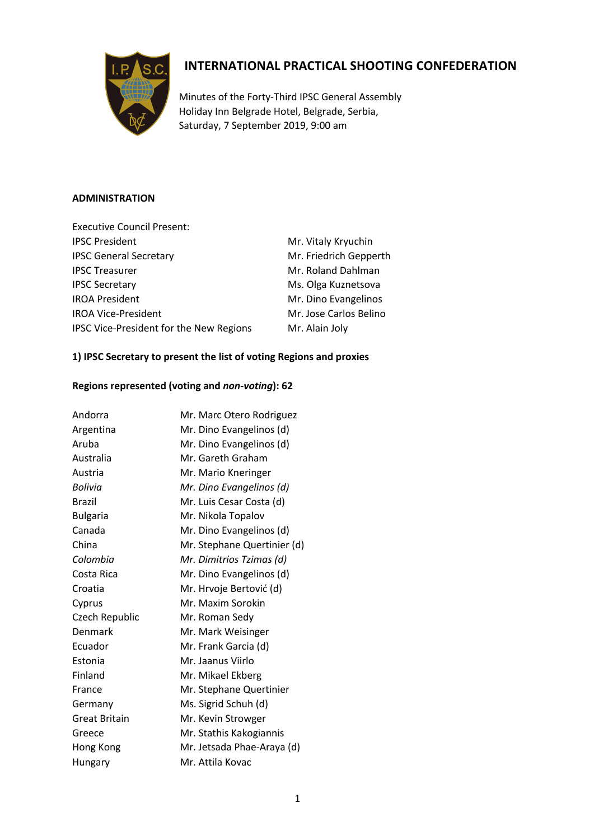

# **INTERNATIONAL PRACTICAL SHOOTING CONFEDERATION**

Minutes of the Forty-Third IPSC General Assembly Holiday Inn Belgrade Hotel, Belgrade, Serbia, Saturday, 7 September 2019, 9:00 am

# **ADMINISTRATION**

| <b>Executive Council Present:</b>              |                        |
|------------------------------------------------|------------------------|
| <b>IPSC President</b>                          | Mr. Vitaly Kryuchin    |
| <b>IPSC General Secretary</b>                  | Mr. Friedrich Gepperth |
| <b>IPSC Treasurer</b>                          | Mr. Roland Dahlman     |
| <b>IPSC Secretary</b>                          | Ms. Olga Kuznetsova    |
| <b>IROA President</b>                          | Mr. Dino Evangelinos   |
| <b>IROA Vice-President</b>                     | Mr. Jose Carlos Belino |
| <b>IPSC Vice-President for the New Regions</b> | Mr. Alain Joly         |
|                                                |                        |

# **1) IPSC Secretary to present the list of voting Regions and proxies**

# **Regions represented (voting and** *non-voting***): 62**

| Andorra              | Mr. Marc Otero Rodriguez    |
|----------------------|-----------------------------|
| Argentina            | Mr. Dino Evangelinos (d)    |
| Aruba                | Mr. Dino Evangelinos (d)    |
| Australia            | Mr. Gareth Graham           |
| Austria              | Mr. Mario Kneringer         |
| Bolivia              | Mr. Dino Evangelinos (d)    |
| <b>Brazil</b>        | Mr. Luis Cesar Costa (d)    |
| <b>Bulgaria</b>      | Mr. Nikola Topalov          |
| Canada               | Mr. Dino Evangelinos (d)    |
| China                | Mr. Stephane Quertinier (d) |
| Colombia             | Mr. Dimitrios Tzimas (d)    |
| Costa Rica           | Mr. Dino Evangelinos (d)    |
| Croatia              | Mr. Hrvoje Bertović (d)     |
| Cyprus               | Mr. Maxim Sorokin           |
| Czech Republic       | Mr. Roman Sedy              |
| Denmark              | Mr. Mark Weisinger          |
| Ecuador              | Mr. Frank Garcia (d)        |
| Estonia              | Mr. Jaanus Viirlo           |
| Finland              | Mr. Mikael Ekberg           |
| France               | Mr. Stephane Quertinier     |
| Germany              | Ms. Sigrid Schuh (d)        |
| <b>Great Britain</b> | Mr. Kevin Strowger          |
| Greece               | Mr. Stathis Kakogiannis     |
| Hong Kong            | Mr. Jetsada Phae-Araya (d)  |
| Hungary              | Mr. Attila Kovac            |
|                      |                             |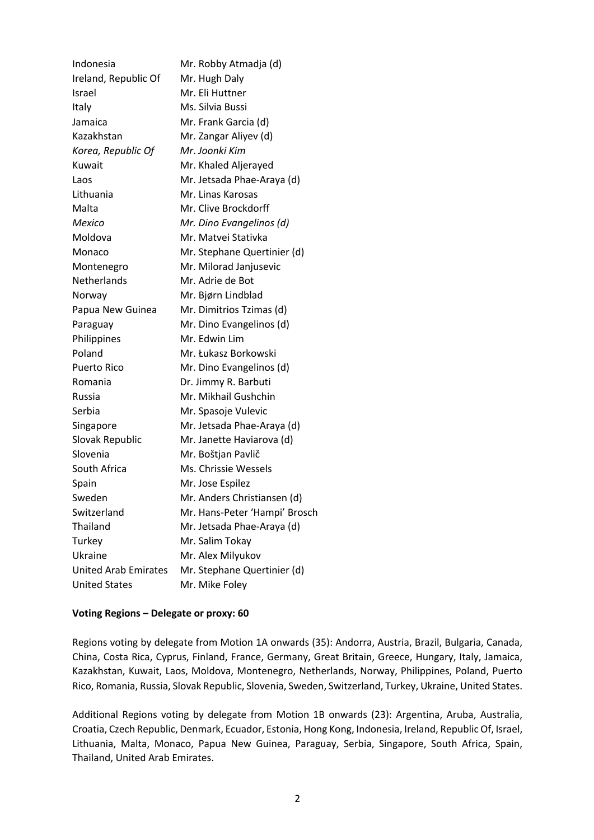| Indonesia                   | Mr. Robby Atmadja (d)         |
|-----------------------------|-------------------------------|
| Ireland, Republic Of        | Mr. Hugh Daly                 |
| Israel                      | Mr. Eli Huttner               |
| Italy                       | Ms. Silvia Bussi              |
| Jamaica                     | Mr. Frank Garcia (d)          |
| Kazakhstan                  | Mr. Zangar Aliyev (d)         |
| Korea, Republic Of          | Mr. Joonki Kim                |
| Kuwait                      | Mr. Khaled Aljerayed          |
| Laos                        | Mr. Jetsada Phae-Araya (d)    |
| Lithuania                   | Mr. Linas Karosas             |
| Malta                       | Mr. Clive Brockdorff          |
| Mexico                      | Mr. Dino Evangelinos (d)      |
| Moldova                     | Mr. Matvei Stativka           |
| Monaco                      | Mr. Stephane Quertinier (d)   |
| Montenegro                  | Mr. Milorad Janjusevic        |
| Netherlands                 | Mr. Adrie de Bot              |
| Norway                      | Mr. Bjørn Lindblad            |
| Papua New Guinea            | Mr. Dimitrios Tzimas (d)      |
| Paraguay                    | Mr. Dino Evangelinos (d)      |
| Philippines                 | Mr. Edwin Lim                 |
| Poland                      | Mr. Łukasz Borkowski          |
| <b>Puerto Rico</b>          | Mr. Dino Evangelinos (d)      |
| Romania                     | Dr. Jimmy R. Barbuti          |
| Russia                      | Mr. Mikhail Gushchin          |
| Serbia                      | Mr. Spasoje Vulevic           |
| Singapore                   | Mr. Jetsada Phae-Araya (d)    |
| Slovak Republic             | Mr. Janette Haviarova (d)     |
| Slovenia                    | Mr. Boštjan Pavlič            |
| South Africa                | Ms. Chrissie Wessels          |
| Spain                       | Mr. Jose Espilez              |
| Sweden                      | Mr. Anders Christiansen (d)   |
| Switzerland                 | Mr. Hans-Peter 'Hampi' Brosch |
| Thailand                    | Mr. Jetsada Phae-Araya (d)    |
| Turkey                      | Mr. Salim Tokay               |
| Ukraine                     | Mr. Alex Milyukov             |
| <b>United Arab Emirates</b> | Mr. Stephane Quertinier (d)   |
| <b>United States</b>        | Mr. Mike Foley                |

#### **Voting Regions – Delegate or proxy: 60**

Regions voting by delegate from Motion 1A onwards (35): Andorra, Austria, Brazil, Bulgaria, Canada, China, Costa Rica, Cyprus, Finland, France, Germany, Great Britain, Greece, Hungary, Italy, Jamaica, Kazakhstan, Kuwait, Laos, Moldova, Montenegro, Netherlands, Norway, Philippines, Poland, Puerto Rico, Romania, Russia, Slovak Republic, Slovenia, Sweden, Switzerland, Turkey, Ukraine, United States.

Additional Regions voting by delegate from Motion 1B onwards (23): Argentina, Aruba, Australia, Croatia, Czech Republic, Denmark, Ecuador, Estonia, Hong Kong, Indonesia, Ireland, Republic Of, Israel, Lithuania, Malta, Monaco, Papua New Guinea, Paraguay, Serbia, Singapore, South Africa, Spain, Thailand, United Arab Emirates.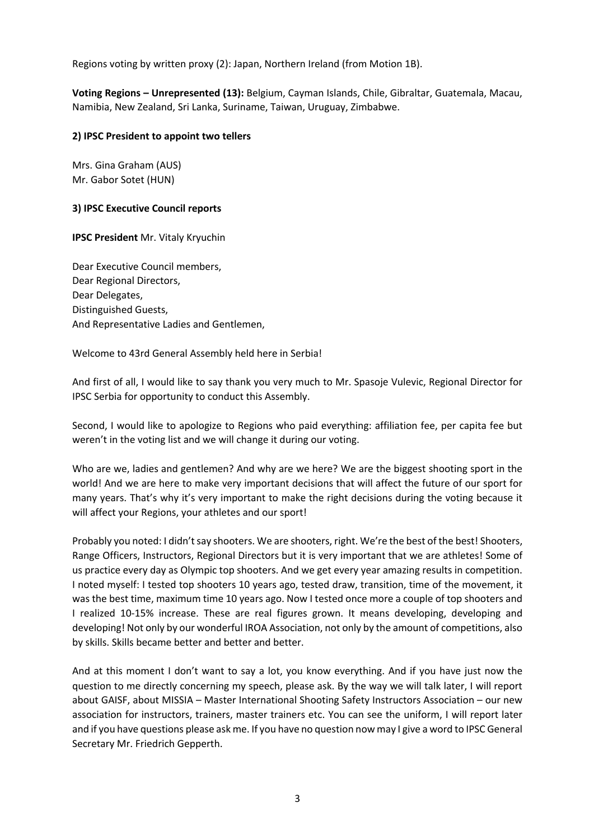Regions voting by written proxy (2): Japan, Northern Ireland (from Motion 1B).

**Voting Regions – Unrepresented (13):** Belgium, Cayman Islands, Chile, Gibraltar, Guatemala, Macau, Namibia, New Zealand, Sri Lanka, Suriname, Taiwan, Uruguay, Zimbabwe.

## **2) IPSC President to appoint two tellers**

Mrs. Gina Graham (AUS) Mr. Gabor Sotet (HUN)

## **3) IPSC Executive Council reports**

**IPSC President** Mr. Vitaly Kryuchin

Dear Executive Council members, Dear Regional Directors, Dear Delegates, Distinguished Guests, And Representative Ladies and Gentlemen,

Welcome to 43rd General Assembly held here in Serbia!

And first of all, I would like to say thank you very much to Mr. Spasoje Vulevic, Regional Director for IPSC Serbia for opportunity to conduct this Assembly.

Second, I would like to apologize to Regions who paid everything: affiliation fee, per capita fee but weren't in the voting list and we will change it during our voting.

Who are we, ladies and gentlemen? And why are we here? We are the biggest shooting sport in the world! And we are here to make very important decisions that will affect the future of our sport for many years. That's why it's very important to make the right decisions during the voting because it will affect your Regions, your athletes and our sport!

Probably you noted: I didn't say shooters. We are shooters, right. We're the best of the best! Shooters, Range Officers, Instructors, Regional Directors but it is very important that we are athletes! Some of us practice every day as Olympic top shooters. And we get every year amazing results in competition. I noted myself: I tested top shooters 10 years ago, tested draw, transition, time of the movement, it was the best time, maximum time 10 years ago. Now I tested once more a couple of top shooters and I realized 10-15% increase. These are real figures grown. It means developing, developing and developing! Not only by our wonderful IROA Association, not only by the amount of competitions, also by skills. Skills became better and better and better.

And at this moment I don't want to say a lot, you know everything. And if you have just now the question to me directly concerning my speech, please ask. By the way we will talk later, I will report about GAISF, about MISSIA – Master International Shooting Safety Instructors Association – our new association for instructors, trainers, master trainers etc. You can see the uniform, I will report later and if you have questions please ask me. If you have no question now may I give a word to IPSC General Secretary Mr. Friedrich Gepperth.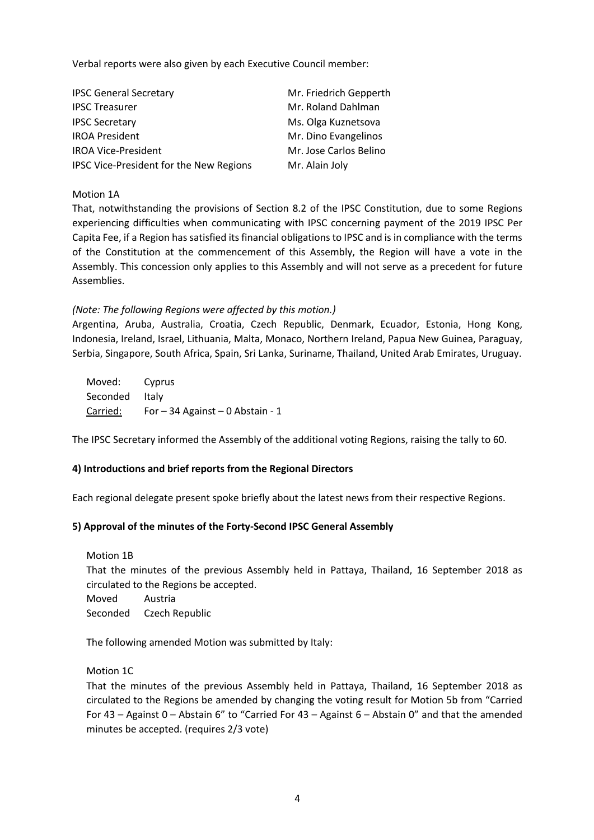Verbal reports were also given by each Executive Council member:

| <b>IPSC General Secretary</b>           | Mr. Friedrich Gepperth |
|-----------------------------------------|------------------------|
| <b>IPSC Treasurer</b>                   | Mr. Roland Dahlman     |
| <b>IPSC Secretary</b>                   | Ms. Olga Kuznetsova    |
| <b>IROA President</b>                   | Mr. Dino Evangelinos   |
| <b>IROA Vice-President</b>              | Mr. Jose Carlos Belino |
| IPSC Vice-President for the New Regions | Mr. Alain Joly         |

#### Motion 1A

That, notwithstanding the provisions of Section 8.2 of the IPSC Constitution, due to some Regions experiencing difficulties when communicating with IPSC concerning payment of the 2019 IPSC Per Capita Fee, if a Region has satisfied its financial obligations to IPSC and is in compliance with the terms of the Constitution at the commencement of this Assembly, the Region will have a vote in the Assembly. This concession only applies to this Assembly and will not serve as a precedent for future Assemblies.

# *(Note: The following Regions were affected by this motion.)*

Argentina, Aruba, Australia, Croatia, Czech Republic, Denmark, Ecuador, Estonia, Hong Kong, Indonesia, Ireland, Israel, Lithuania, Malta, Monaco, Northern Ireland, Papua New Guinea, Paraguay, Serbia, Singapore, South Africa, Spain, Sri Lanka, Suriname, Thailand, United Arab Emirates, Uruguay.

Moved: Cyprus Seconded Italy Carried: For – 34 Against – 0 Abstain - 1

The IPSC Secretary informed the Assembly of the additional voting Regions, raising the tally to 60.

# **4) Introductions and brief reports from the Regional Directors**

Each regional delegate present spoke briefly about the latest news from their respective Regions.

#### **5) Approval of the minutes of the Forty-Second IPSC General Assembly**

Motion 1B

That the minutes of the previous Assembly held in Pattaya, Thailand, 16 September 2018 as circulated to the Regions be accepted.

Moved Austria Seconded Czech Republic

The following amended Motion was submitted by Italy:

Motion 1C

That the minutes of the previous Assembly held in Pattaya, Thailand, 16 September 2018 as circulated to the Regions be amended by changing the voting result for Motion 5b from "Carried For 43 – Against 0 – Abstain 6" to "Carried For 43 – Against 6 – Abstain 0" and that the amended minutes be accepted. (requires 2/3 vote)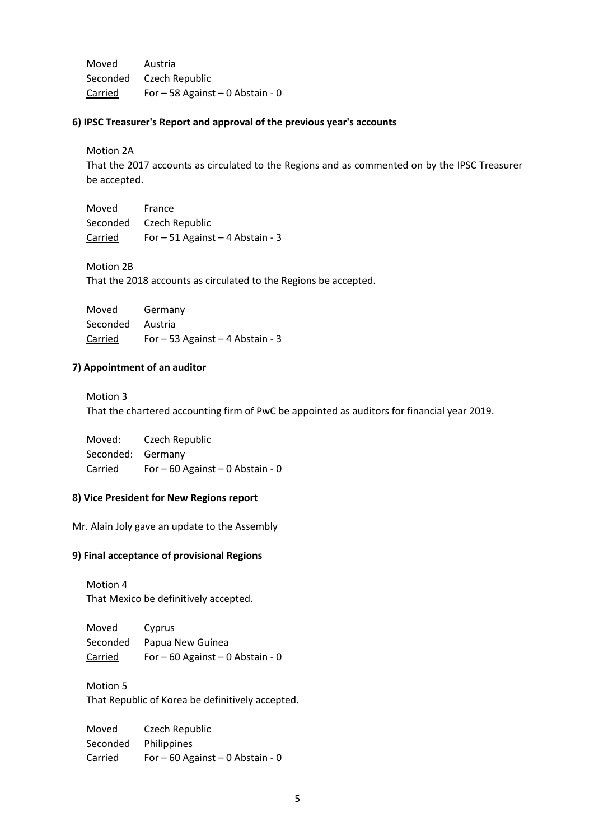Moved Austria Seconded Czech Republic Carried For – 58 Against – 0 Abstain - 0

#### **6) IPSC Treasurer's Report and approval of the previous year's accounts**

Motion 2A

That the 2017 accounts as circulated to the Regions and as commented on by the IPSC Treasurer be accepted.

Moved France Seconded Czech Republic Carried For – 51 Against – 4 Abstain - 3

Motion 2B

That the 2018 accounts as circulated to the Regions be accepted.

| Moved            | Germany                            |
|------------------|------------------------------------|
| Seconded Austria |                                    |
| Carried          | For $-53$ Against $-4$ Abstain - 3 |

#### **7) Appointment of an auditor**

Motion 3

That the chartered accounting firm of PwC be appointed as auditors for financial year 2019.

Moved: Czech Republic Seconded: Germany Carried For – 60 Against – 0 Abstain - 0

## **8) Vice President for New Regions report**

Mr. Alain Joly gave an update to the Assembly

#### **9) Final acceptance of provisional Regions**

Motion 4 That Mexico be definitively accepted.

Moved Cyprus Seconded Papua New Guinea Carried For  $-60$  Against  $-0$  Abstain - 0

Motion 5 That Republic of Korea be definitively accepted.

Moved Czech Republic Seconded Philippines Carried For – 60 Against – 0 Abstain - 0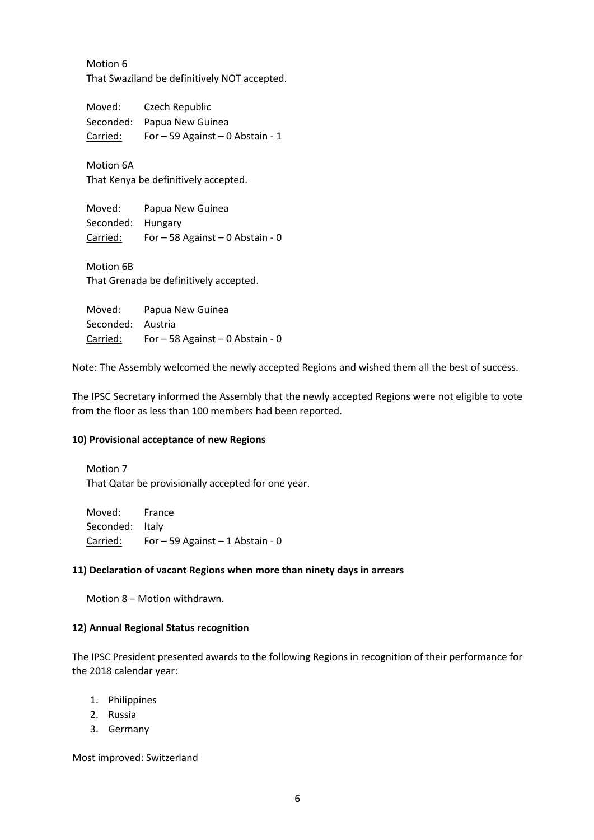Motion 6 That Swaziland be definitively NOT accepted.

Moved: Czech Republic Seconded: Papua New Guinea Carried: For – 59 Against – 0 Abstain - 1

Motion 6A That Kenya be definitively accepted.

Moved: Papua New Guinea Seconded: Hungary Carried: For – 58 Against – 0 Abstain - 0

Motion 6B That Grenada be definitively accepted.

Moved: Papua New Guinea Seconded: Austria Carried: For – 58 Against – 0 Abstain - 0

Note: The Assembly welcomed the newly accepted Regions and wished them all the best of success.

The IPSC Secretary informed the Assembly that the newly accepted Regions were not eligible to vote from the floor as less than 100 members had been reported.

#### **10) Provisional acceptance of new Regions**

Motion 7 That Qatar be provisionally accepted for one year.

Moved: France Seconded: Italy Carried: For – 59 Against – 1 Abstain - 0

#### **11) Declaration of vacant Regions when more than ninety days in arrears**

Motion 8 – Motion withdrawn.

#### **12) Annual Regional Status recognition**

The IPSC President presented awards to the following Regions in recognition of their performance for the 2018 calendar year:

- 1. Philippines
- 2. Russia
- 3. Germany

Most improved: Switzerland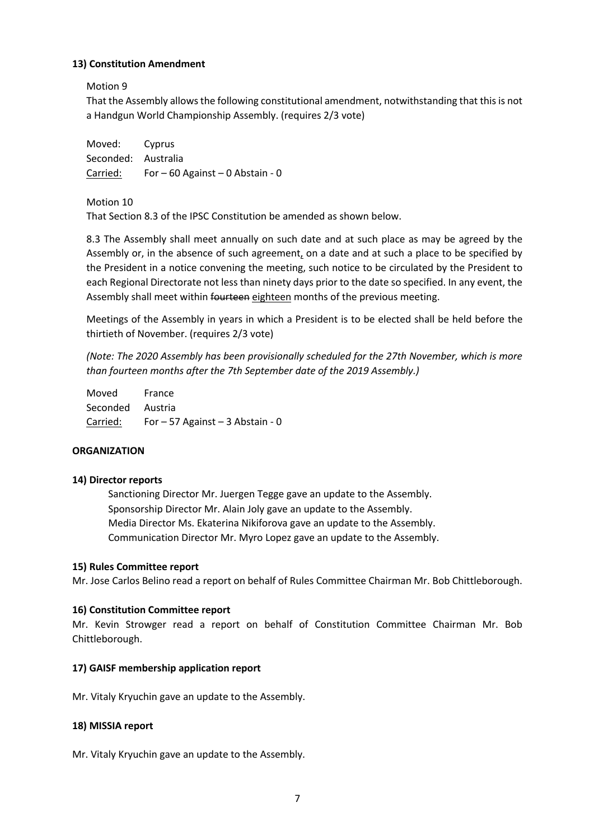## **13) Constitution Amendment**

Motion 9

That the Assembly allows the following constitutional amendment, notwithstanding that this is not a Handgun World Championship Assembly. (requires 2/3 vote)

| Moved: Cyprus       |                                  |
|---------------------|----------------------------------|
| Seconded: Australia |                                  |
| Carried:            | For – 60 Against – 0 Abstain - 0 |

Motion 10

That Section 8.3 of the IPSC Constitution be amended as shown below.

8.3 The Assembly shall meet annually on such date and at such place as may be agreed by the Assembly or, in the absence of such agreement, on a date and at such a place to be specified by the President in a notice convening the meeting, such notice to be circulated by the President to each Regional Directorate not less than ninety days prior to the date so specified. In any event, the Assembly shall meet within fourteen eighteen months of the previous meeting.

Meetings of the Assembly in years in which a President is to be elected shall be held before the thirtieth of November. (requires 2/3 vote)

*(Note: The 2020 Assembly has been provisionally scheduled for the 27th November, which is more than fourteen months after the 7th September date of the 2019 Assembly.)*

Moved France Seconded Austria Carried: For – 57 Against – 3 Abstain - 0

# **ORGANIZATION**

#### **14) Director reports**

Sanctioning Director Mr. Juergen Tegge gave an update to the Assembly. Sponsorship Director Mr. Alain Joly gave an update to the Assembly. Media Director Ms. Ekaterina Nikiforova gave an update to the Assembly. Communication Director Mr. Myro Lopez gave an update to the Assembly.

#### **15) Rules Committee report**

Mr. Jose Carlos Belino read a report on behalf of Rules Committee Chairman Mr. Bob Chittleborough.

#### **16) Constitution Committee report**

Mr. Kevin Strowger read a report on behalf of Constitution Committee Chairman Mr. Bob Chittleborough.

#### **17) GAISF membership application report**

Mr. Vitaly Kryuchin gave an update to the Assembly.

#### **18) MISSIA report**

Mr. Vitaly Kryuchin gave an update to the Assembly.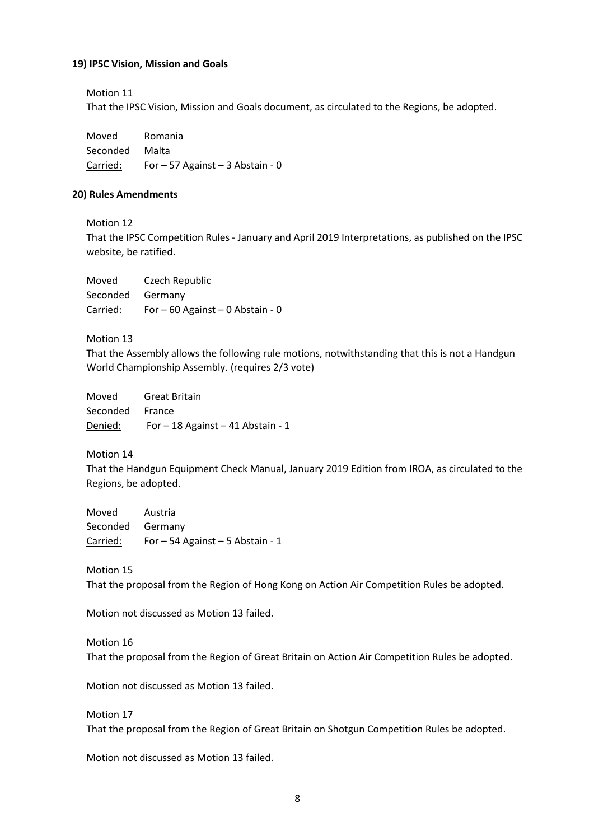#### **19) IPSC Vision, Mission and Goals**

Motion 11

That the IPSC Vision, Mission and Goals document, as circulated to the Regions, be adopted.

Moved Romania Seconded Malta Carried: For – 57 Against – 3 Abstain - 0

#### **20) Rules Amendments**

Motion 12

That the IPSC Competition Rules - January and April 2019 Interpretations, as published on the IPSC website, be ratified.

| Moved            | Czech Republic                     |
|------------------|------------------------------------|
| Seconded Germany |                                    |
| Carried:         | For $-60$ Against $-0$ Abstain - 0 |

Motion 13

That the Assembly allows the following rule motions, notwithstanding that this is not a Handgun World Championship Assembly. (requires 2/3 vote)

| Moved           | <b>Great Britain</b>                |
|-----------------|-------------------------------------|
| Seconded France |                                     |
| Denied:         | For $-18$ Against $-41$ Abstain - 1 |

Motion 14

That the Handgun Equipment Check Manual, January 2019 Edition from IROA, as circulated to the Regions, be adopted.

Moved Austria Seconded Germany Carried: For – 54 Against – 5 Abstain - 1

Motion 15 That the proposal from the Region of Hong Kong on Action Air Competition Rules be adopted.

Motion not discussed as Motion 13 failed.

Motion 16

That the proposal from the Region of Great Britain on Action Air Competition Rules be adopted.

Motion not discussed as Motion 13 failed.

Motion 17 That the proposal from the Region of Great Britain on Shotgun Competition Rules be adopted.

Motion not discussed as Motion 13 failed.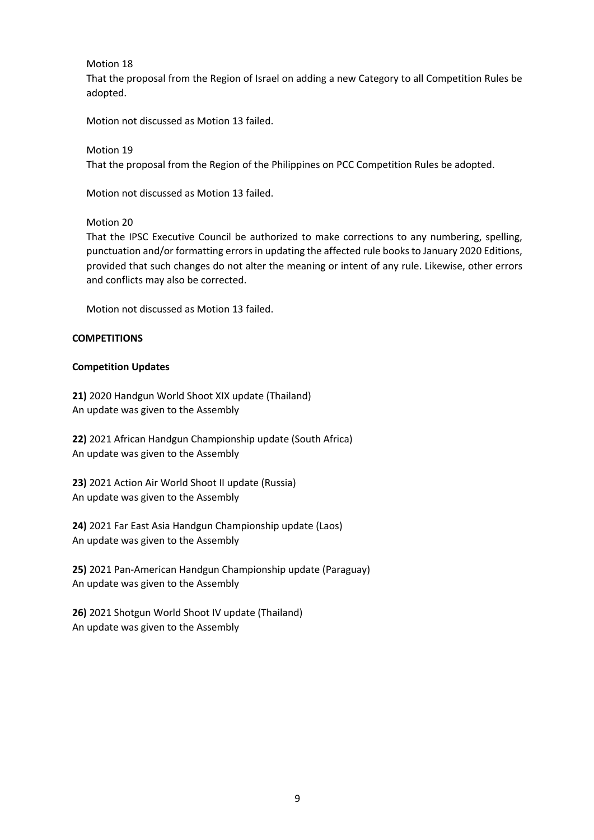Motion 18

That the proposal from the Region of Israel on adding a new Category to all Competition Rules be adopted.

Motion not discussed as Motion 13 failed.

Motion 19 That the proposal from the Region of the Philippines on PCC Competition Rules be adopted.

Motion not discussed as Motion 13 failed.

Motion 20

That the IPSC Executive Council be authorized to make corrections to any numbering, spelling, punctuation and/or formatting errors in updating the affected rule books to January 2020 Editions, provided that such changes do not alter the meaning or intent of any rule. Likewise, other errors and conflicts may also be corrected.

Motion not discussed as Motion 13 failed.

## **COMPETITIONS**

## **Competition Updates**

**21)** 2020 Handgun World Shoot XIX update (Thailand) An update was given to the Assembly

**22)** 2021 African Handgun Championship update (South Africa) An update was given to the Assembly

**23)** 2021 Action Air World Shoot II update (Russia) An update was given to the Assembly

**24)** 2021 Far East Asia Handgun Championship update (Laos) An update was given to the Assembly

**25)** 2021 Pan-American Handgun Championship update (Paraguay) An update was given to the Assembly

**26)** 2021 Shotgun World Shoot IV update (Thailand) An update was given to the Assembly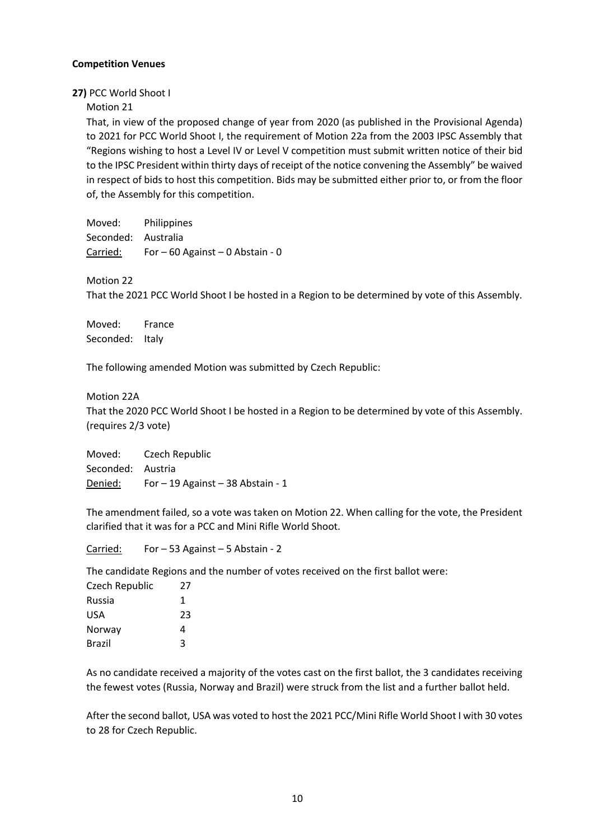## **Competition Venues**

#### **27)** PCC World Shoot I

#### Motion 21

That, in view of the proposed change of year from 2020 (as published in the Provisional Agenda) to 2021 for PCC World Shoot I, the requirement of Motion 22a from the 2003 IPSC Assembly that "Regions wishing to host a Level IV or Level V competition must submit written notice of their bid to the IPSC President within thirty days of receipt of the notice convening the Assembly" be waived in respect of bids to host this competition. Bids may be submitted either prior to, or from the floor of, the Assembly for this competition.

Moved: Philippines Seconded: Australia Carried: For – 60 Against – 0 Abstain - 0

#### Motion 22

That the 2021 PCC World Shoot I be hosted in a Region to be determined by vote of this Assembly.

Moved: France Seconded: Italy

The following amended Motion was submitted by Czech Republic:

#### Motion 22A

That the 2020 PCC World Shoot I be hosted in a Region to be determined by vote of this Assembly. (requires 2/3 vote)

Moved: Czech Republic Seconded: Austria Denied: For – 19 Against – 38 Abstain - 1

The amendment failed, so a vote was taken on Motion 22. When calling for the vote, the President clarified that it was for a PCC and Mini Rifle World Shoot.

Carried: For – 53 Against – 5 Abstain - 2

The candidate Regions and the number of votes received on the first ballot were:

| Czech Republic | 27 |
|----------------|----|
| Russia         | 1  |
| USA            | 23 |
| Norway         | 4  |
| Brazil         | ર  |

As no candidate received a majority of the votes cast on the first ballot, the 3 candidates receiving the fewest votes (Russia, Norway and Brazil) were struck from the list and a further ballot held.

After the second ballot, USA was voted to host the 2021 PCC/Mini Rifle World Shoot I with 30 votes to 28 for Czech Republic.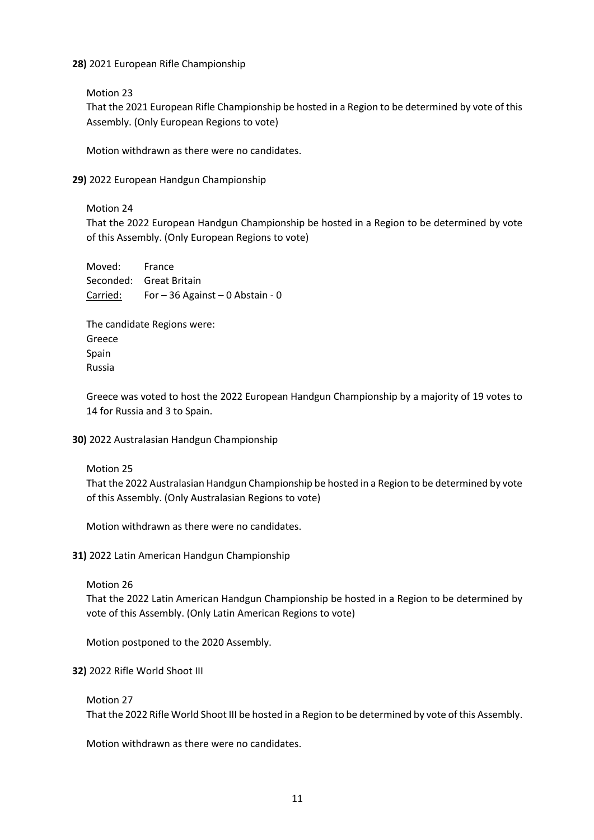## **28)** 2021 European Rifle Championship

Motion 23

That the 2021 European Rifle Championship be hosted in a Region to be determined by vote of this Assembly. (Only European Regions to vote)

Motion withdrawn as there were no candidates.

**29)** 2022 European Handgun Championship

Motion 24

That the 2022 European Handgun Championship be hosted in a Region to be determined by vote of this Assembly. (Only European Regions to vote)

Moved: France Seconded: Great Britain Carried: For – 36 Against – 0 Abstain - 0

The candidate Regions were: Greece Spain Russia

Greece was voted to host the 2022 European Handgun Championship by a majority of 19 votes to 14 for Russia and 3 to Spain.

#### **30)** 2022 Australasian Handgun Championship

Motion 25

That the 2022 Australasian Handgun Championship be hosted in a Region to be determined by vote of this Assembly. (Only Australasian Regions to vote)

Motion withdrawn as there were no candidates.

**31)** 2022 Latin American Handgun Championship

Motion 26

That the 2022 Latin American Handgun Championship be hosted in a Region to be determined by vote of this Assembly. (Only Latin American Regions to vote)

Motion postponed to the 2020 Assembly.

#### **32)** 2022 Rifle World Shoot III

Motion 27

That the 2022 Rifle World Shoot III be hosted in a Region to be determined by vote of this Assembly.

Motion withdrawn as there were no candidates.